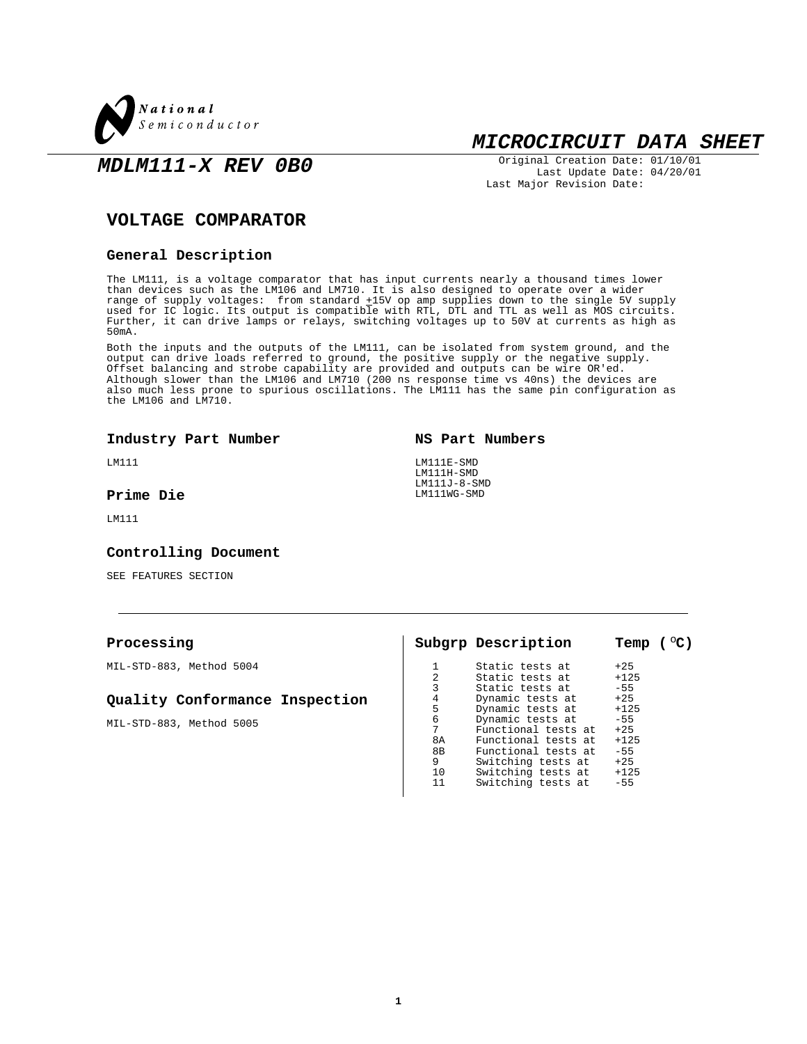

## **MICROCIRCUIT DATA SHEET**

**MDLM111-X REV 0B0**

Original Creation Date: 01/10/01 Last Update Date: 04/20/01 Last Major Revision Date:

## **VOLTAGE COMPARATOR**

#### **General Description**

The LM111, is a voltage comparator that has input currents nearly a thousand times lower than devices such as the LM106 and LM710. It is also designed to operate over a wider range of supply voltages:  $\,$  from standard  $\pm 15$ V op amp supplies down to the single  $5$ V supply used for IC logic. Its output is compatible with RTL, DTL and TTL as well as MOS circuits. Further, it can drive lamps or relays, switching voltages up to 50V at currents as high as 50mA.

Both the inputs and the outputs of the LM111, can be isolated from system ground, and the output can drive loads referred to ground, the positive supply or the negative supply. Offset balancing and strobe capability are provided and outputs can be wire OR'ed. Although slower than the LM106 and LM710 (200 ns response time vs 40ns) the devices are also much less prone to spurious oscillations. The LM111 has the same pin configuration as the LM106 and LM710.

#### **Industry Part Number**

LM111

### **Prime Die**

LM111

#### **Controlling Document**

SEE FEATURES SECTION

| Processing                     |    | Subgrp Description  | Temp $(°C)$ |
|--------------------------------|----|---------------------|-------------|
| MIL-STD-883, Method 5004       |    | Static tests at     | $+25$       |
|                                | 2  | Static tests at     | $+125$      |
|                                |    | Static tests at     | $-55$       |
| Quality Conformance Inspection | 4  | Dynamic tests at    | $+25$       |
|                                | 5  | Dynamic tests at    | $+125$      |
| MIL-STD-883, Method 5005       | 6  | Dynamic tests at    | $-55$       |
|                                | 7  | Functional tests at | $+25$       |
|                                | 8A | Functional tests at | $+125$      |
|                                | 8B | Functional tests at | $-55$       |
|                                | 9  | Switching tests at  | $+25$       |
|                                | 10 | Switching tests at  | $+125$      |
|                                | 11 | Switching tests at  | $-55$       |

 $\mathbf{I}$ 

**NS Part Numbers**

LM111E-SMD LM111H-SMD LM111J-8-SMD LM111WG-SMD

**1**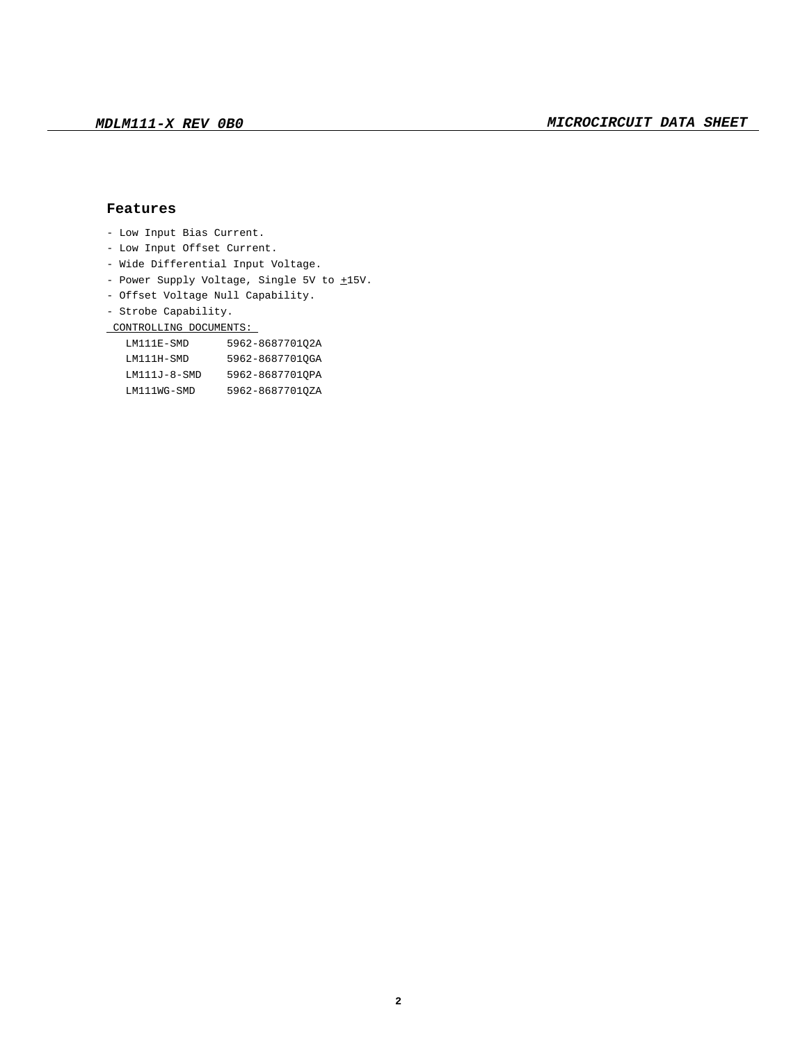## **Features**

- Low Input Bias Current.
- Low Input Offset Current.
- Wide Differential Input Voltage.
- Power Supply Voltage, Single 5V to  $\pm 15V$ .
- Offset Voltage Null Capability.
- Strobe Capability.

### CONTROLLING DOCUMENTS:

| LM111E-SMD     | 5962-868770102A |
|----------------|-----------------|
| LM111H-SMD     | 5962-86877010GA |
| $LM111J-8-SMD$ | 5962-8687701OPA |
| LM111WG-SMD    | 5962-86877010ZA |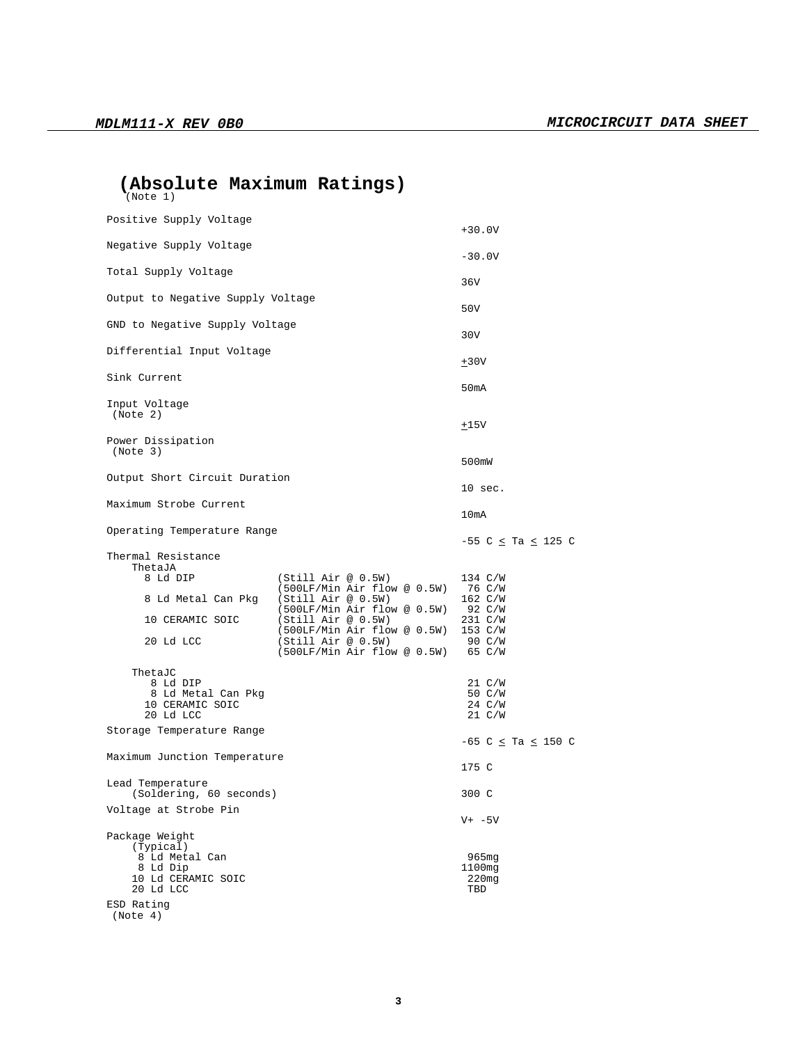| (Absolute Maximum Ratings) |  |
|----------------------------|--|
| (Note 1)                   |  |

| Positive Supply Voltage                                                                                                                                         |                                                                                                                                                                                                                          | $+30.0V$                                                                                                      |  |  |  |  |
|-----------------------------------------------------------------------------------------------------------------------------------------------------------------|--------------------------------------------------------------------------------------------------------------------------------------------------------------------------------------------------------------------------|---------------------------------------------------------------------------------------------------------------|--|--|--|--|
| Negative Supply Voltage                                                                                                                                         |                                                                                                                                                                                                                          | $-30.0V$                                                                                                      |  |  |  |  |
| Total Supply Voltage                                                                                                                                            |                                                                                                                                                                                                                          |                                                                                                               |  |  |  |  |
| Output to Negative Supply Voltage                                                                                                                               | 36V                                                                                                                                                                                                                      |                                                                                                               |  |  |  |  |
| GND to Negative Supply Voltage                                                                                                                                  |                                                                                                                                                                                                                          | 50V                                                                                                           |  |  |  |  |
| Differential Input Voltage                                                                                                                                      |                                                                                                                                                                                                                          | 30V                                                                                                           |  |  |  |  |
| Sink Current                                                                                                                                                    |                                                                                                                                                                                                                          | ±30V                                                                                                          |  |  |  |  |
| Input Voltage<br>(Note 2)                                                                                                                                       |                                                                                                                                                                                                                          | 50 <sub>m</sub> A<br>±15V                                                                                     |  |  |  |  |
| Power Dissipation                                                                                                                                               |                                                                                                                                                                                                                          |                                                                                                               |  |  |  |  |
| (Note 3)                                                                                                                                                        |                                                                                                                                                                                                                          | 500mW                                                                                                         |  |  |  |  |
| Output Short Circuit Duration                                                                                                                                   |                                                                                                                                                                                                                          | 10 sec.                                                                                                       |  |  |  |  |
| Maximum Strobe Current                                                                                                                                          |                                                                                                                                                                                                                          | 10mA                                                                                                          |  |  |  |  |
| Operating Temperature Range                                                                                                                                     |                                                                                                                                                                                                                          | $-55$ C $\leq$ Ta $\leq$ 125 C                                                                                |  |  |  |  |
| Thermal Resistance<br>ThetaJA<br>8 Ld DIP<br>8 Ld Metal Can Pkg<br>10 CERAMIC SOIC<br>20 Ld LCC<br>ThetaJC<br>8 Ld DIP<br>8 Ld Metal Can Pkg<br>10 CERAMIC SOIC | (Still Air @ 0.5W)<br>(500LF/Min Air flow @ 0.5W)<br>(Still Air @ 0.5W)<br>(500LF/Min Air flow @ 0.5W)<br>(Still Air @ 0.5W)<br>(500LF/Min Air flow @ 0.5W) 153 C/W<br>(Still Air @ 0.5W)<br>(500LF/Min Air flow @ 0.5W) | 134 C/W<br>76 C/W<br>$162 \text{ C/W}$<br>92 C/W<br>231 C/W<br>90 C/W<br>65 C/W<br>21 C/W<br>50 C/W<br>24 C/W |  |  |  |  |
| 20 Ld LCC<br>Storage Temperature Range                                                                                                                          |                                                                                                                                                                                                                          | $21 \text{ C/W}$                                                                                              |  |  |  |  |
| Maximum Junction Temperature                                                                                                                                    |                                                                                                                                                                                                                          | -65 C $\leq$ Ta $\leq$ 150 C                                                                                  |  |  |  |  |
| Lead Temperature<br>(Soldering, 60 seconds)                                                                                                                     |                                                                                                                                                                                                                          | 175 C<br>300 C                                                                                                |  |  |  |  |
| Voltage at Strobe Pin                                                                                                                                           |                                                                                                                                                                                                                          | V+ -5V                                                                                                        |  |  |  |  |
| Package Weight<br>(Typical)<br>8 Ld Metal Can<br>8 Ld Dip<br>10 Ld CERAMIC SOIC<br>20 Ld LCC<br>ESD Rating<br>(Note 4)                                          |                                                                                                                                                                                                                          | $965$ mq<br>1100mg<br>$220$ mg<br>TBD                                                                         |  |  |  |  |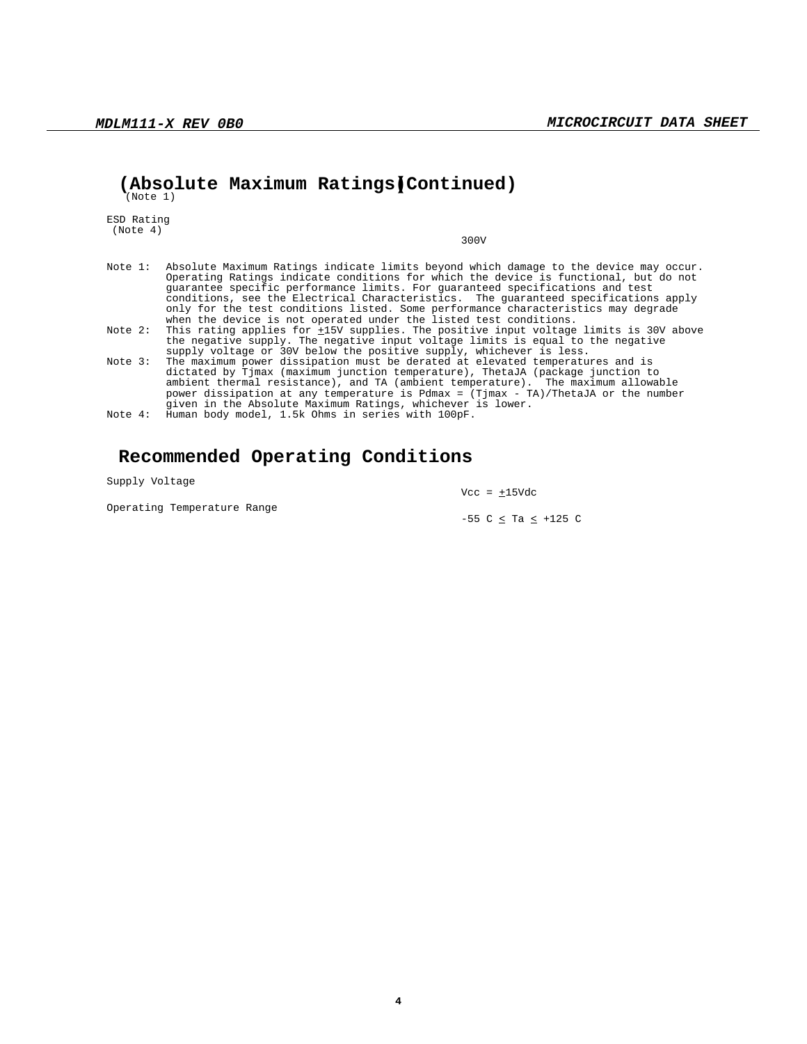## **(Absolute Maximum Ratings)(Continued)**

(Note 1)

ESD Rating (Note 4)

300V

| Note 1: Absolute Maximum Ratings indicate limits beyond which damage to the device may occur. |
|-----------------------------------------------------------------------------------------------|
| Operating Ratings indicate conditions for which the device is functional, but do not          |
| quarantee specific performance limits. For quaranteed specifications and test                 |
| conditions, see the Electrical Characteristics. The quaranteed specifications apply           |
| only for the test conditions listed. Some performance characteristics may degrade             |
| when the device is not operated under the listed test conditions.                             |
| Note 2: This rating applies for +15V supplies. The positive input voltage limits is 30V above |
| the negative supply. The negative input voltage limits is equal to the negative               |
| supply voltage or 30V below the positive supply, whichever is less.                           |
| Note 3: The maximum power dissipation must be derated at elevated temperatures and is         |
| dictated by Tjmax (maximum junction temperature), ThetaJA (package junction to                |
| ambient thermal resistance), and TA (ambient temperature). The maximum allowable              |
| power dissipation at any temperature is Pdmax = (Tjmax - TA)/ThetaJA or the number            |

given in the Absolute Maximum Ratings, whichever is lower. Note 4: Human body model, 1.5k Ohms in series with 100pF.

## **Recommended Operating Conditions**

Supply Voltage

Operating Temperature Range

 $Vcc = \pm 15Vdc$ 

-55 C  $\le$  Ta  $\le$  +125 C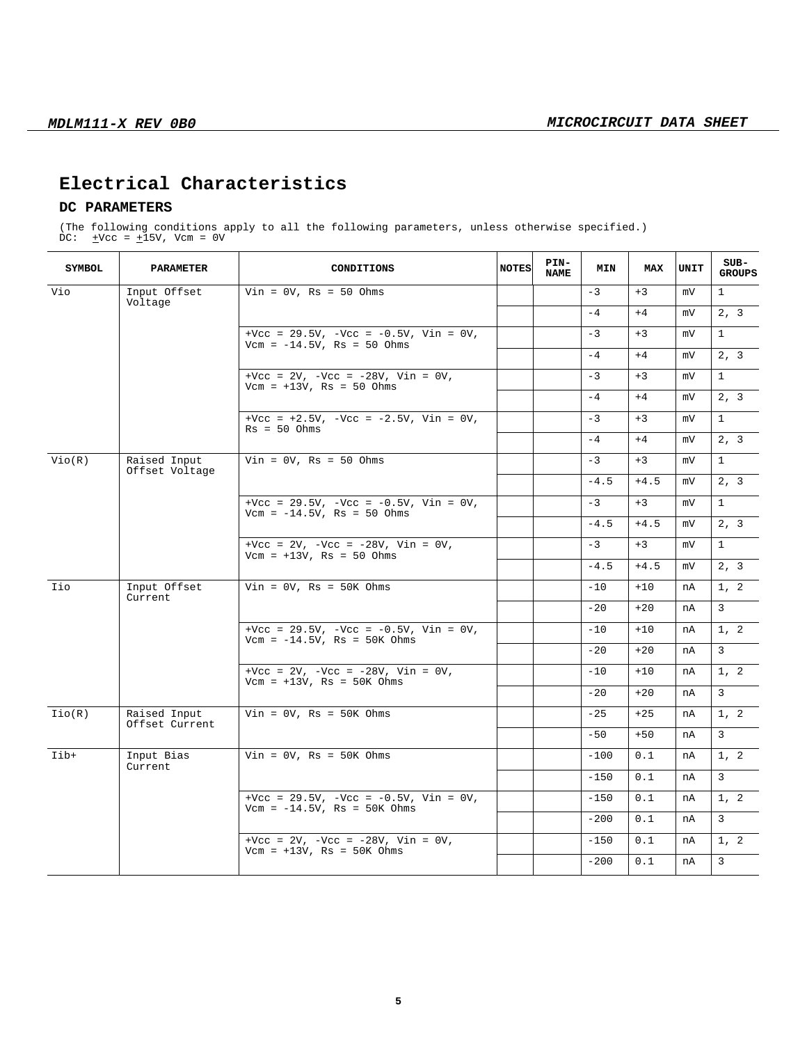# **Electrical Characteristics**

## **DC PARAMETERS**

(The following conditions apply to all the following parameters, unless otherwise specified.) DC:  $\pm$ Vcc =  $\pm$ 15V, Vcm = 0V

| <b>SYMBOL</b>                 | <b>PARAMETER</b>                            | CONDITIONS                                                                      | <b>NOTES</b> | PIN-<br><b>NAME</b> | <b>MIN</b> | MAX    | UNIT         | SUB-<br><b>GROUPS</b> |
|-------------------------------|---------------------------------------------|---------------------------------------------------------------------------------|--------------|---------------------|------------|--------|--------------|-----------------------|
| Vio                           | Input Offset                                | $Vin = 0V$ , Rs = 50 Ohms                                                       |              |                     | $-3$       | $+3$   | mV           | $\mathbf{1}$          |
|                               | Voltage                                     |                                                                                 |              |                     | $-4$       | $+4$   | mV           | 2, 3                  |
| $Vcm = -14.5V$ , Rs = 50 Ohms | +Vcc = $29.5V$ , -Vcc = $-0.5V$ , Vin = 0V, |                                                                                 |              | $-3$                | $+3$       | mV     | $\mathbf{1}$ |                       |
|                               |                                             |                                                                                 |              |                     | $-4$       | $+4$   | mV           | 2, 3                  |
|                               |                                             | +Vcc = $2V$ , -Vcc = $-28V$ , Vin = 0V,<br>$Vcm = +13V$ , Rs = 50 Ohms          |              |                     | $-3$       | $+3$   | mV           | $\mathbf{1}$          |
|                               |                                             |                                                                                 |              |                     | $-4$       | $+4$   | mV           | 2, 3                  |
|                               |                                             | +Vcc = $+2.5V$ , -Vcc = $-2.5V$ , Vin = 0V,<br>$Rs = 50 Ohms$                   |              |                     | $-3$       | $+3$   | mV           | $\mathbf{1}$          |
|                               |                                             |                                                                                 |              |                     | $-4$       | $+4$   | mV           | 2, 3                  |
| Vio(R)                        | Raised Input<br>Offset Voltage              | $Vin = 0V$ , Rs = 50 Ohms                                                       |              |                     | $-3$       | $+3$   | mV           | $\mathbf{1}$          |
|                               |                                             |                                                                                 |              |                     | $-4.5$     | $+4.5$ | mV           | 2, 3                  |
|                               |                                             | +Vcc = $29.5V$ , -Vcc = $-0.5V$ , Vin = 0V,<br>$Vcm = -14.5V$ , Rs = 50 Ohms    |              |                     | $-3$       | $+3$   | mV           | $\mathbf{1}$          |
|                               |                                             |                                                                                 |              |                     | $-4.5$     | $+4.5$ | mV           | 2, 3                  |
|                               |                                             | +Vcc = $2V$ , -Vcc = $-28V$ , Vin = 0V,<br>$Vcm = +13V$ , Rs = 50 Ohms          |              |                     | $-3$       | $+3$   | mV           | $\mathbf{1}$          |
|                               |                                             |                                                                                 |              |                     | $-4.5$     | $+4.5$ | mV           | 2, 3                  |
| Iio                           | Input Offset<br>Current                     | $Vin = 0V$ , Rs = 50K Ohms                                                      |              |                     | $-10$      | $+10$  | nA           | 1, 2                  |
|                               |                                             |                                                                                 |              |                     | $-20$      | $+20$  | nA           | $\mathbf{3}$          |
|                               |                                             | +Vcc = $29.5V$ , -Vcc = $-0.5V$ , Vin = 0V,<br>Vcm = $-14.5V$ , Rs = $50K$ Ohms |              |                     | $-10$      | $+10$  | nA           | 1, 2                  |
|                               |                                             |                                                                                 |              |                     | $-20$      | $+20$  | nA           | 3                     |
|                               |                                             | +Vcc = $2V$ , -Vcc = $-28V$ , Vin = 0V,<br>$Vcm = +13V$ , Rs = 50K Ohms         |              |                     | $-10$      | $+10$  | nA           | 1, 2                  |
|                               |                                             |                                                                                 |              |                     | $-20$      | $+20$  | nA           | 3                     |
| Iio(R)                        | Raised Input<br>Offset Current              | $Vin = 0V$ , Rs = 50K Ohms                                                      |              |                     | $-25$      | $+25$  | nA           | 1, 2                  |
|                               |                                             |                                                                                 |              |                     | $-50$      | $+50$  | nA           | 3                     |
| Iib+                          | Input Bias<br>Current                       | $Vin = 0V$ , Rs = 50K Ohms                                                      |              |                     | $-100$     | 0.1    | nA           | 1, 2                  |
|                               |                                             |                                                                                 |              |                     | $-150$     | 0.1    | nA           | 3                     |
|                               |                                             | +Vcc = $29.5V$ , -Vcc = $-0.5V$ , Vin = 0V,<br>Vcm = $-14.5V$ , Rs = $50K$ Ohms |              |                     | $-150$     | 0.1    | nA           | 1, 2                  |
|                               |                                             |                                                                                 |              |                     | $-200$     | 0.1    | nA           | 3                     |
|                               |                                             | +Vcc = $2V$ , -Vcc = $-28V$ , Vin = 0V,<br>$Vcm = +13V$ , Rs = 50K Ohms         |              |                     | $-150$     | 0.1    | nA           | 1, 2                  |
|                               |                                             |                                                                                 |              |                     | $-200$     | 0.1    | nA           | 3                     |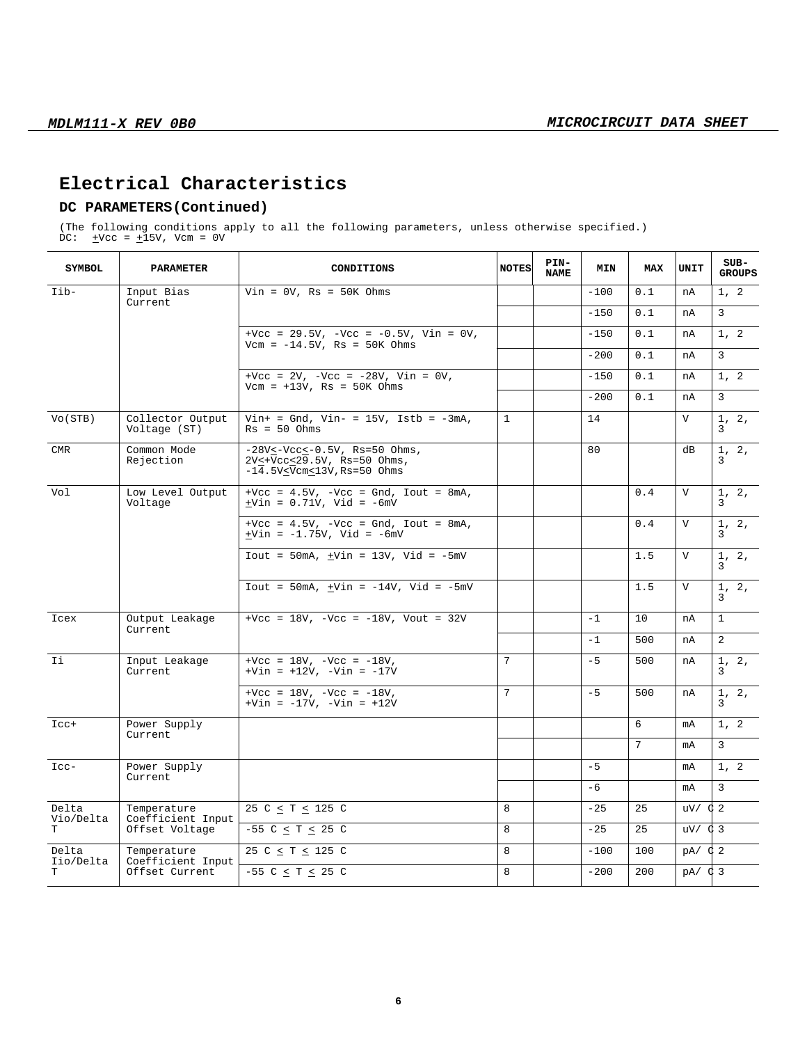## **Electrical Characteristics**

## **DC PARAMETERS(Continued)**

(The following conditions apply to all the following parameters, unless otherwise specified.) DC:  $\pm$ Vcc =  $\pm$ 15V, Vcm = 0V

| <b>SYMBOL</b>                                         | <b>PARAMETER</b><br>CONDITIONS                      |                                                                                                       | PIN-<br><b>NOTES</b><br><b>NAME</b> |  | MIN    | <b>MAX</b> | UNIT           | $SUB-$<br><b>GROUPS</b> |  |
|-------------------------------------------------------|-----------------------------------------------------|-------------------------------------------------------------------------------------------------------|-------------------------------------|--|--------|------------|----------------|-------------------------|--|
| Iib-                                                  | Input Bias<br>$Vin = 0V$ , Rs = 50K Ohms<br>Current |                                                                                                       |                                     |  | $-100$ | 0.1        | nA             | 1, 2                    |  |
|                                                       |                                                     |                                                                                                       |                                     |  | $-150$ | 0.1        | nA             | 3                       |  |
|                                                       |                                                     | +Vcc = $29.5V$ , -Vcc = $-0.5V$ , Vin = 0V,<br>$Vcm = -14.5V$ , $Rs = 50K$ Ohms                       |                                     |  | $-150$ | 0.1        | nA             | 1, 2                    |  |
|                                                       |                                                     |                                                                                                       |                                     |  | $-200$ | 0.1        | nA             | 3                       |  |
|                                                       |                                                     | +Vcc = $2V$ , -Vcc = $-28V$ , Vin = 0V,<br>$Vcm = +13V$ , Rs = 50K Ohms                               |                                     |  | $-150$ | 0.1        | nA             | 1, 2                    |  |
|                                                       |                                                     |                                                                                                       |                                     |  | $-200$ | 0.1        | nA             | 3                       |  |
| Vo(STB)                                               | Collector Output<br>Voltage (ST)                    | $Vin+ = Gnd$ , $Vin- = 15V$ , $Istb = -3mA$ ,<br>$Rs = 50 Ohms$                                       | $\mathbf{1}$                        |  | 14     |            | $\mathbf{V}$   | 1, 2,<br>3              |  |
| <b>CMR</b>                                            | Common Mode<br>Rejection                            | $-28V \leq -Vcc \leq -0.5V$ , Rs=50 Ohms,<br>2V<+Vcc<29.5V, Rs=50 Ohms,<br>$-14.5VYcm13V, Rs=50 Ohms$ |                                     |  | 80     |            | dВ             | 1, 2,<br>3              |  |
| Vol                                                   | Low Level Output<br>Voltage                         | $+$ Vcc = 4.5V, $-$ Vcc = Gnd, Iout = 8mA,<br>$\pm$ Vin = 0.71V, Vid = -6mV                           |                                     |  |        | 0.4        | $\mathbf{V}$   | 1, 2,<br>3              |  |
|                                                       |                                                     | +Vcc = $4.5V$ , -Vcc = Gnd, Iout = $8mA$ ,<br>$\pm$ Vin = -1.75V, Vid = -6mV                          |                                     |  |        | 0.4        | $\mathbf{V}$   | 1, 2,<br>3              |  |
|                                                       |                                                     | $Iout = 50mA, +Vin = 13V, Vid = -5mV$                                                                 |                                     |  |        | 1.5        | $\mathbf V$    | 1, 2,<br>3              |  |
|                                                       |                                                     | $Iout = 50mA, +Vin = -14V, Vid = -5mV$                                                                |                                     |  |        | 1.5        | $\mathbf{V}$   | 1, 2,<br>3              |  |
| Icex                                                  | Output Leakage<br>Current                           | +Vcc = $18V$ , -Vcc = $-18V$ , Vout = $32V$                                                           |                                     |  | $-1$   | 10         | nA             | $\mathbf{1}$            |  |
|                                                       |                                                     |                                                                                                       |                                     |  | $-1$   | 500        | nA             | $\overline{2}$          |  |
| Ii                                                    | Input Leakage<br>Current                            | +Vcc = $18V$ , -Vcc = $-18V$ ,<br>$+Vin = +12V$ , $-Vin = -17V$                                       | 7                                   |  | $-5$   | 500        | nA             | 1, 2,<br>3              |  |
|                                                       |                                                     | +Vcc = $18V$ , -Vcc = $-18V$ ,<br>$+Vin = -17V$ , $-Vin = +12V$                                       | 7                                   |  | $-5$   | 500        | nA             | 1, 2,<br>3              |  |
| $_{\text{Lcc+}}$                                      | Power Supply<br>Current                             |                                                                                                       |                                     |  |        | 6          | mA             | 1, 2                    |  |
|                                                       |                                                     |                                                                                                       |                                     |  |        | 7          | mA             | 3                       |  |
| $_{\text{Lcc-}}$                                      | Power Supply<br>Current                             |                                                                                                       |                                     |  | $-5$   |            | mA             | 1, 2                    |  |
|                                                       |                                                     |                                                                                                       |                                     |  | -6     |            | mA             | 3                       |  |
| Delta<br>Vio/Delta                                    | Temperature                                         | 25 C $\leq$ T $\leq$ 125 C                                                                            | 8                                   |  | $-25$  | 25         | $uv/$ $\phi$ 2 |                         |  |
| T                                                     | Coefficient Input<br>Offset Voltage                 | $-55$ C $\le$ T $\le$ 25 C                                                                            | 8                                   |  | $-25$  | 25         | $uv/$ $\phi$ 3 |                         |  |
| Delta                                                 | Temperature                                         | 25 C $\leq$ T $\leq$ 125 C                                                                            | 8                                   |  | $-100$ | 100        | $pA / \phi 2$  |                         |  |
| Iio/Delta<br>Coefficient Input<br>Offset Current<br>T |                                                     | $-55$ C $\leq$ T $\leq$ 25 C                                                                          | 8                                   |  | $-200$ | 200        | $pA / \phi$ 3  |                         |  |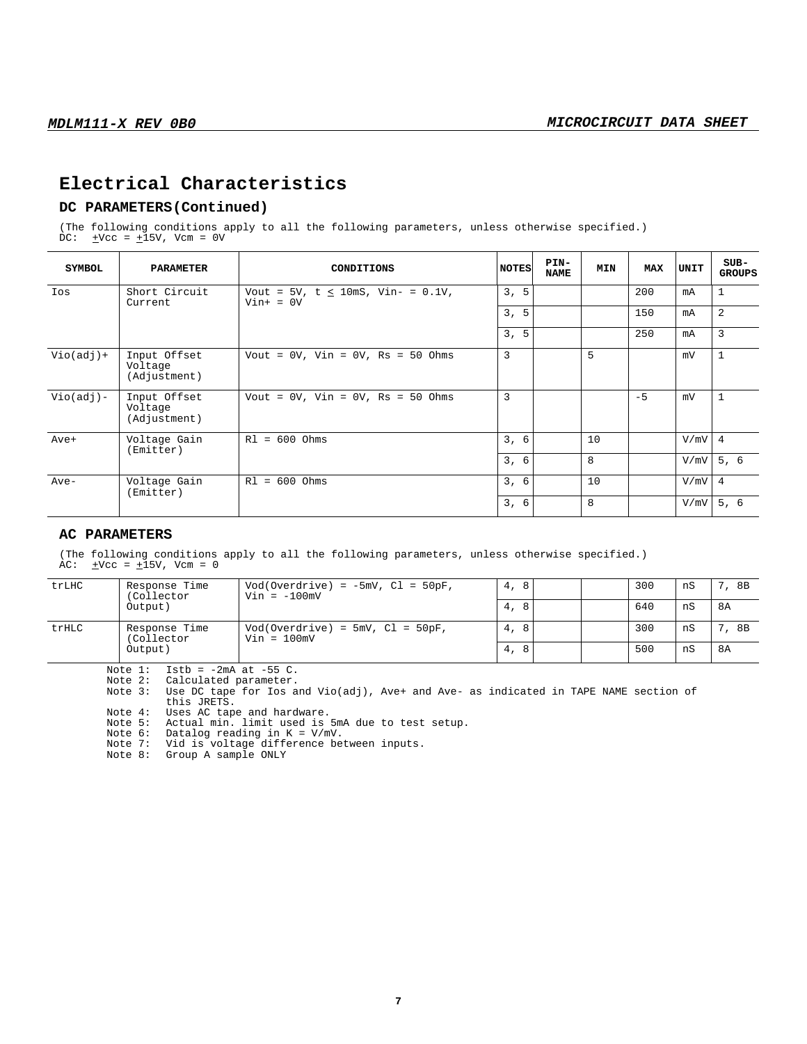## **Electrical Characteristics**

## **DC PARAMETERS(Continued)**

(The following conditions apply to all the following parameters, unless otherwise specified.) DC:  $\pm$ Vcc =  $\pm$ 15V, Vcm = 0V

| SYMBOL<br>PARAMETER<br>CONDITIONS |                                         |                                                          | <b>NOTES</b> | PIN-<br><b>NAME</b> | MIN | <b>MAX</b> | UNIT | $SUB-$<br><b>GROUPS</b> |
|-----------------------------------|-----------------------------------------|----------------------------------------------------------|--------------|---------------------|-----|------------|------|-------------------------|
| Ios                               | Short Circuit<br>Current                | Vout = $5V$ , t $\leq$ 10mS, Vin- = 0.1V,<br>$Vin+ = 0V$ | 3, 5         |                     |     | 200        | mA   | $\mathbf{1}$            |
|                                   |                                         |                                                          | 3, 5         |                     |     | 150        | mA   | $\overline{2}$          |
|                                   |                                         |                                                          | 3, 5         |                     |     | 250        | mA   | 3                       |
| $Vio(adj)+$                       | Input Offset<br>Voltage<br>(Adjustment) | Vout = $0V$ , Vin = $0V$ , Rs = $50$ Ohms                | 3            |                     | 5   |            | mV   | $\mathbf{1}$            |
| $Vio(adj) -$                      | Input Offset<br>Voltage<br>(Adjustment) | Vout = $0V$ , Vin = $0V$ , Rs = $50$ Ohms                | 3            |                     |     | $-5$       | mV   | $\mathbf{1}$            |
| Ave+                              | Voltage Gain<br>(Emitter)               | $R1 = 600$ Ohms                                          | 3, 6         |                     | 10  |            | V/mV | $\overline{4}$          |
|                                   |                                         |                                                          | 3, 6         |                     | 8   |            | V/mV | 5, 6                    |
| Ave-                              | Voltage Gain<br>(Emitter)               | $R1 = 600$ Ohms                                          | 3, 6         |                     | 10  |            | V/mV | $\overline{4}$          |
|                                   |                                         |                                                          | 3, 6         |                     | 8   |            | V/mV | 5, 6                    |

#### **AC PARAMETERS**

(The following conditions apply to all the following parameters, unless otherwise specified.) AC:  $\pm \text{Vcc} = \pm 15 \text{V}$ , Vcm = 0

| trLHC | Response Time<br>(Collector | $Vod(Overdrive) = -5mV, Cl = 50pF,$<br>$Vin = -100mV$ | 8<br>4, |  | 300 | nS | 8B |
|-------|-----------------------------|-------------------------------------------------------|---------|--|-----|----|----|
|       | Output)                     |                                                       | 8<br>4, |  | 640 | nS | 8A |
| trHLC | Response Time<br>(Collector | $Vod(Overdrive) = 5mV, Cl = 50pF,$<br>$Vin = 100mV$   | 8<br>4, |  | 300 | nS | 8B |
|       | Output)                     |                                                       | 8<br>4, |  | 500 | nS | 8A |

Note  $1:$  Istb =  $-2mA$  at  $-55$  C.

Note 2: Calculated parameter.

Note 4: Uses AC tape and hardware.

Note 5: Actual min. limit used is 5mA due to test setup.

Note 6: Datalog reading in K = V/mV. Note 6: Datalog reading in  $K = V/mV$ .<br>Note 7: Vid is voltage difference between inputs.

Note 8: Group A sample ONLY

Note 3: Use DC tape for Ios and Vio(adj), Ave+ and Ave- as indicated in TAPE NAME section of this JRETS.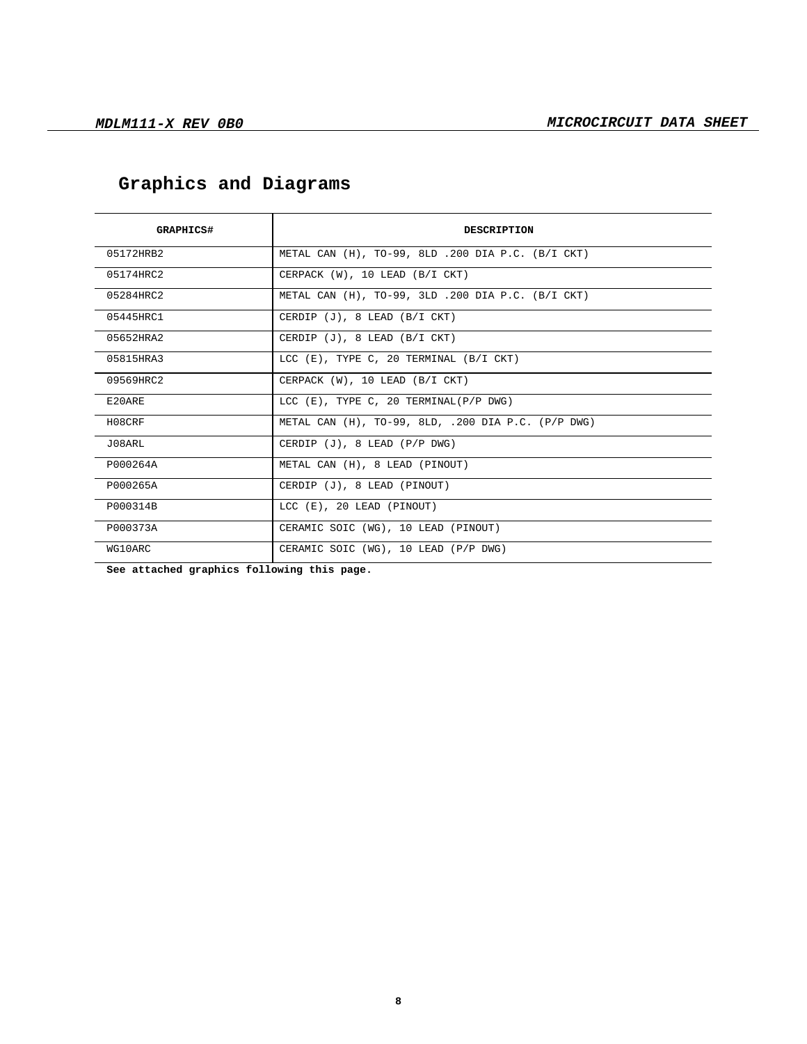| GRAPHICS#                                                    | <b>DESCRIPTION</b>                                     |  |  |
|--------------------------------------------------------------|--------------------------------------------------------|--|--|
| 05172HRB2                                                    | METAL CAN (H), TO-99, 8LD .200 DIA P.C. (B/I CKT)      |  |  |
| 05174HRC2                                                    | CERPACK (W), 10 LEAD (B/I CKT)                         |  |  |
| 05284HRC2                                                    | METAL CAN $(H)$ , TO-99, 3LD .200 DIA P.C. $(B/I$ CKT) |  |  |
| 05445HRC1                                                    | CERDIP (J), 8 LEAD (B/I CKT)                           |  |  |
| 05652HRA2                                                    | CERDIP $(J)$ , 8 LEAD $(B/I CKT)$                      |  |  |
| 05815HRA3                                                    | LCC (E), TYPE C, 20 TERMINAL (B/I CKT)                 |  |  |
| 09569HRC2                                                    | CERPACK (W), 10 LEAD (B/I CKT)                         |  |  |
| E20ARE                                                       | LCC $(E)$ , TYPE C, 20 TERMINAL( $P/P$ DWG)            |  |  |
| METAL CAN (H), TO-99, 8LD, .200 DIA P.C. (P/P DWG)<br>H08CRF |                                                        |  |  |
| J08ARL                                                       | CERDIP (J), 8 LEAD (P/P DWG)                           |  |  |
| P000264A                                                     | METAL CAN (H), 8 LEAD (PINOUT)                         |  |  |
| P000265A                                                     | CERDIP (J), 8 LEAD (PINOUT)                            |  |  |
| P000314B                                                     | LCC (E), 20 LEAD (PINOUT)                              |  |  |
| P000373A                                                     | CERAMIC SOIC (WG), 10 LEAD (PINOUT)                    |  |  |
| WG10ARC                                                      | CERAMIC SOIC (WG), 10 LEAD (P/P DWG)                   |  |  |

# **Graphics and Diagrams**

**See attached graphics following this page.**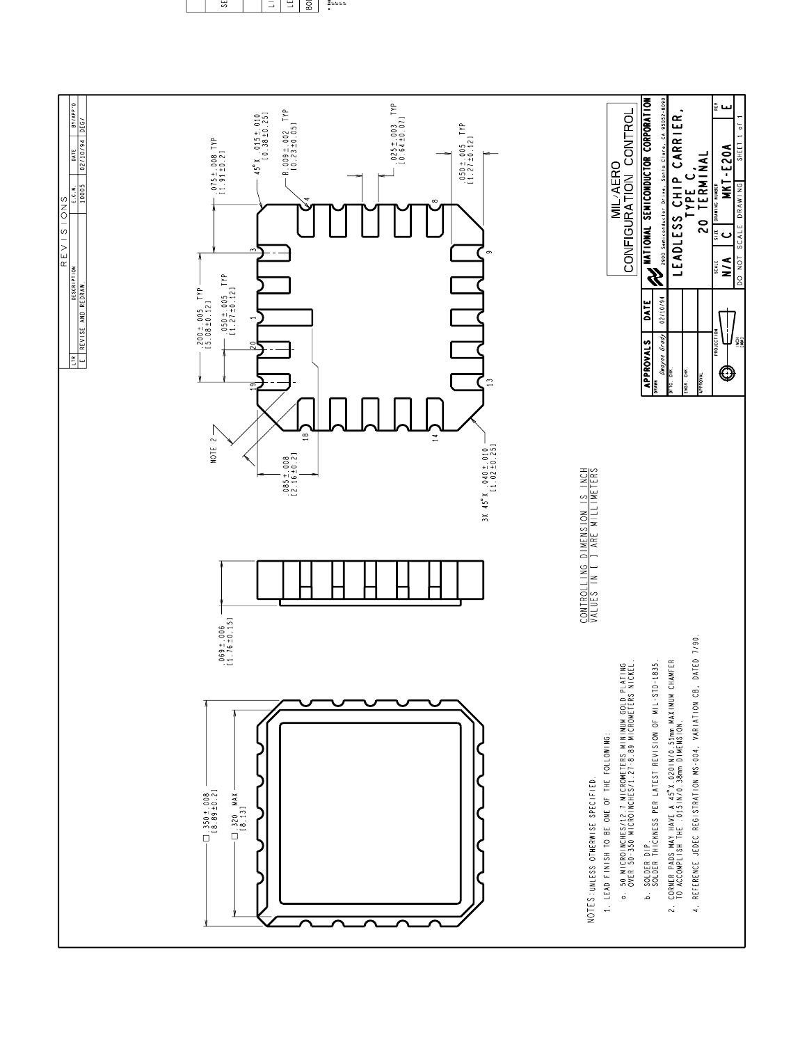

Essas<br>F

š <u>다</u> <u> 비리</u>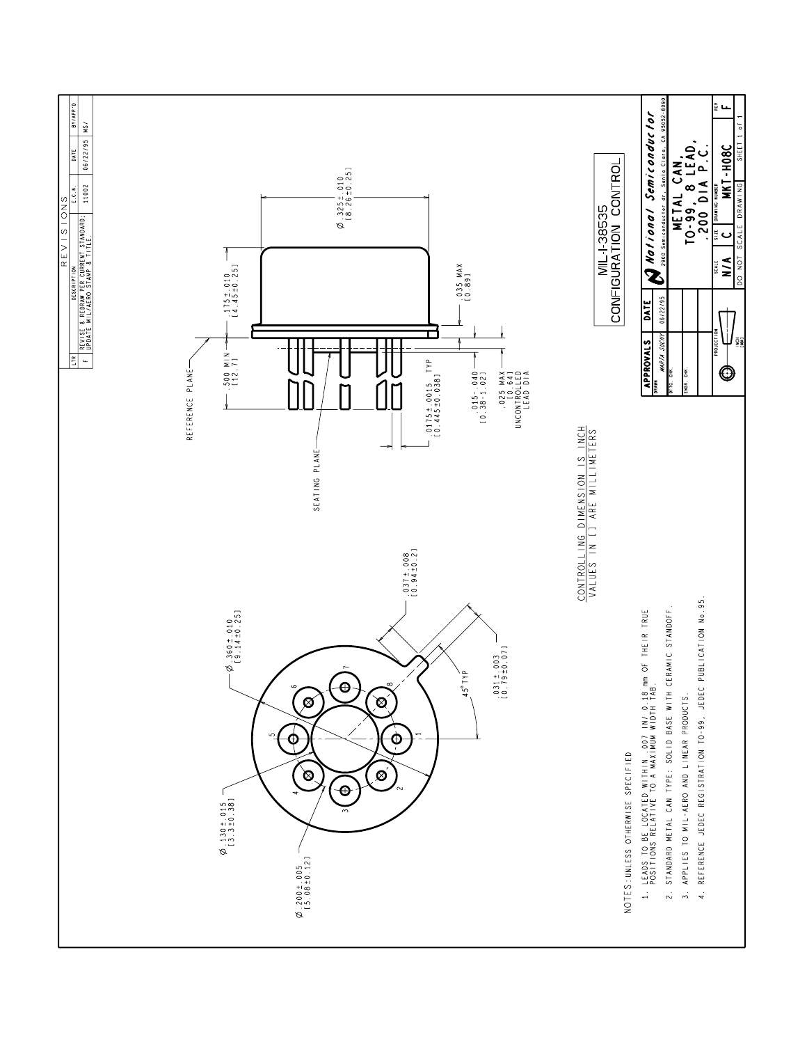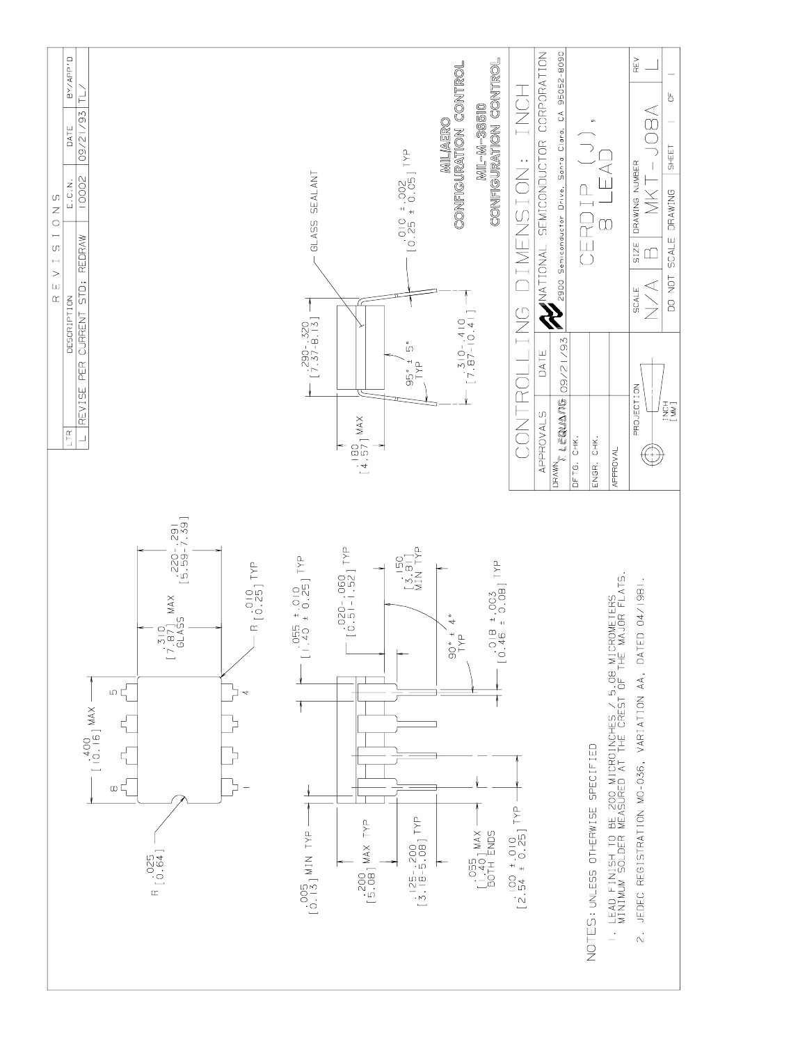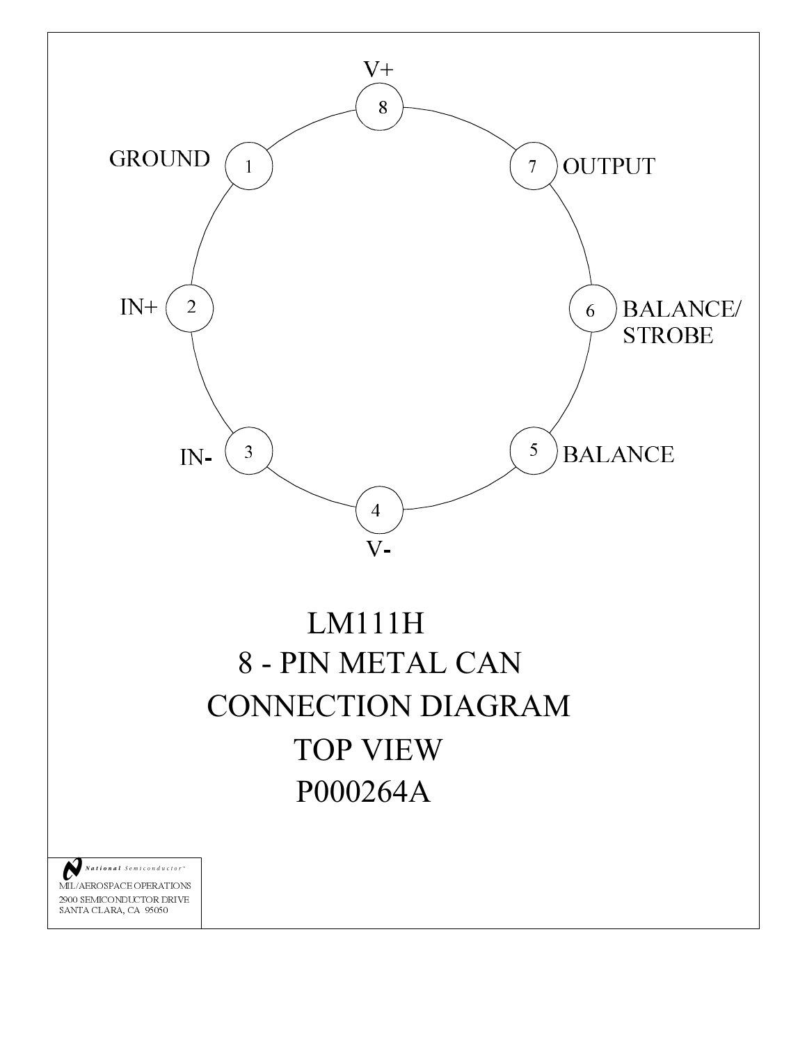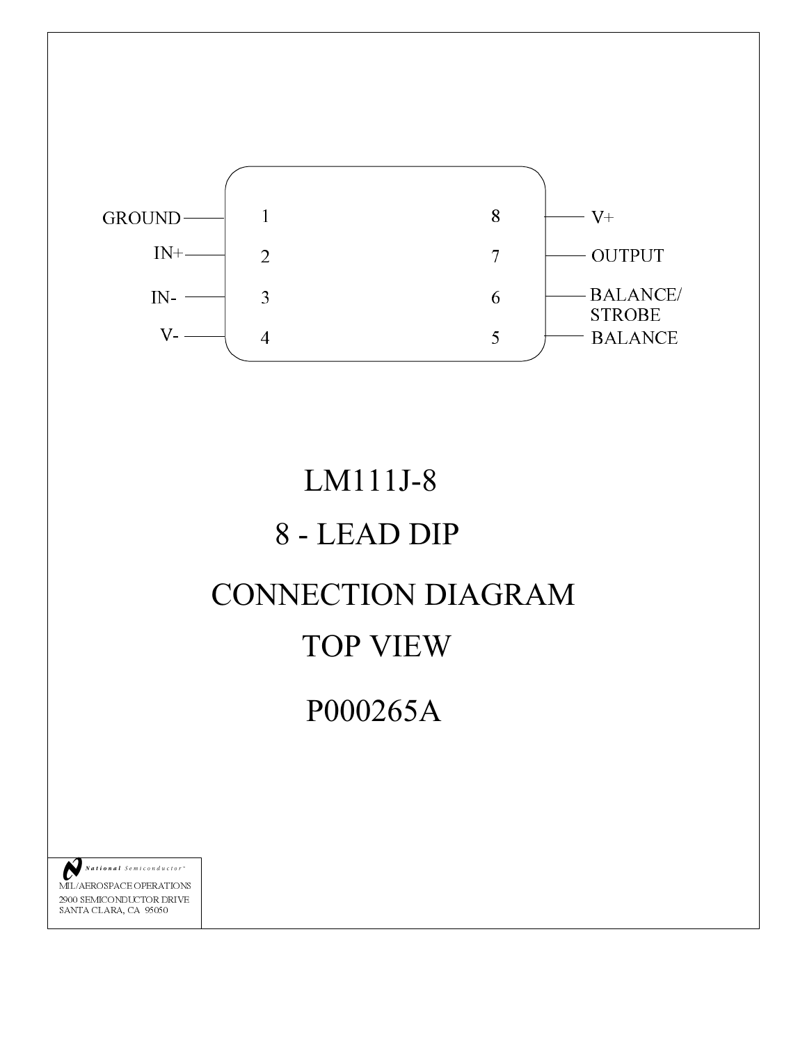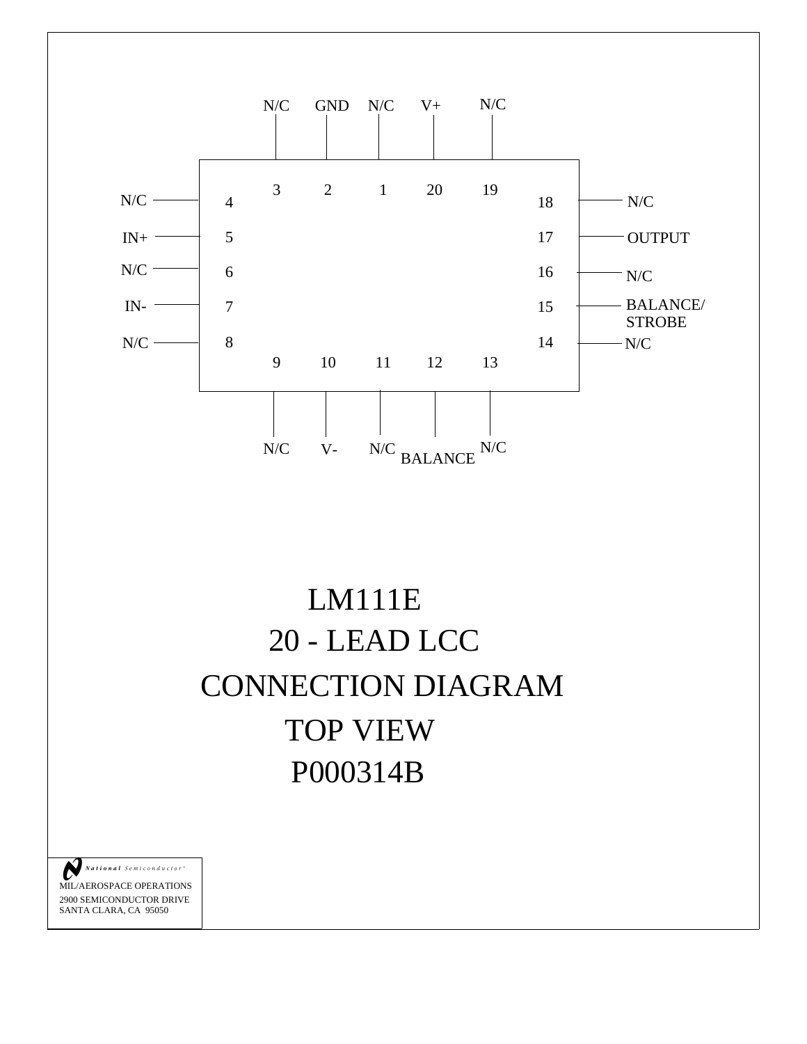





MIL/AEROSPACE OPERATIONS 2900 SEMICONDUCTOR DRIVE SANTA CLARA, CA 95050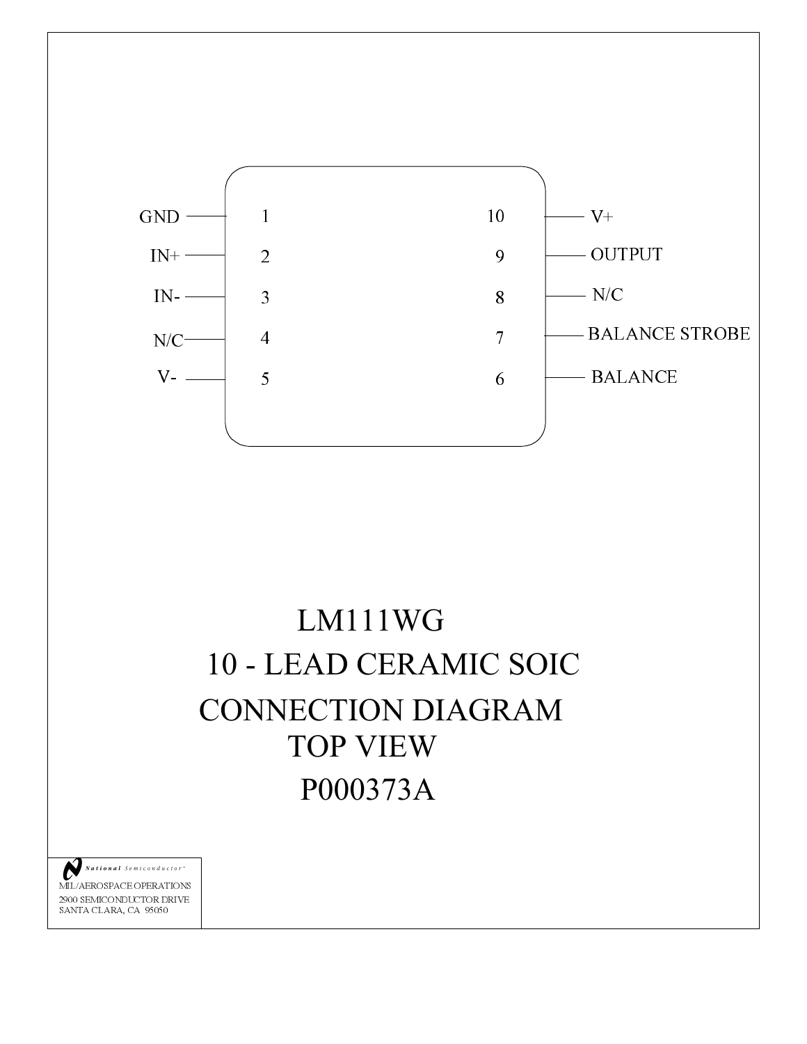

# LM111WG 10 - LEAD CERAMIC SOIC **CONNECTION DIAGRAM TOP VIEW** P000373A

National Semiconductor C

MIL/AEROSPACE OPERATIONS  $2900$  SEMICONDUCTOR DRIVE SANTA CLARA, CA 95050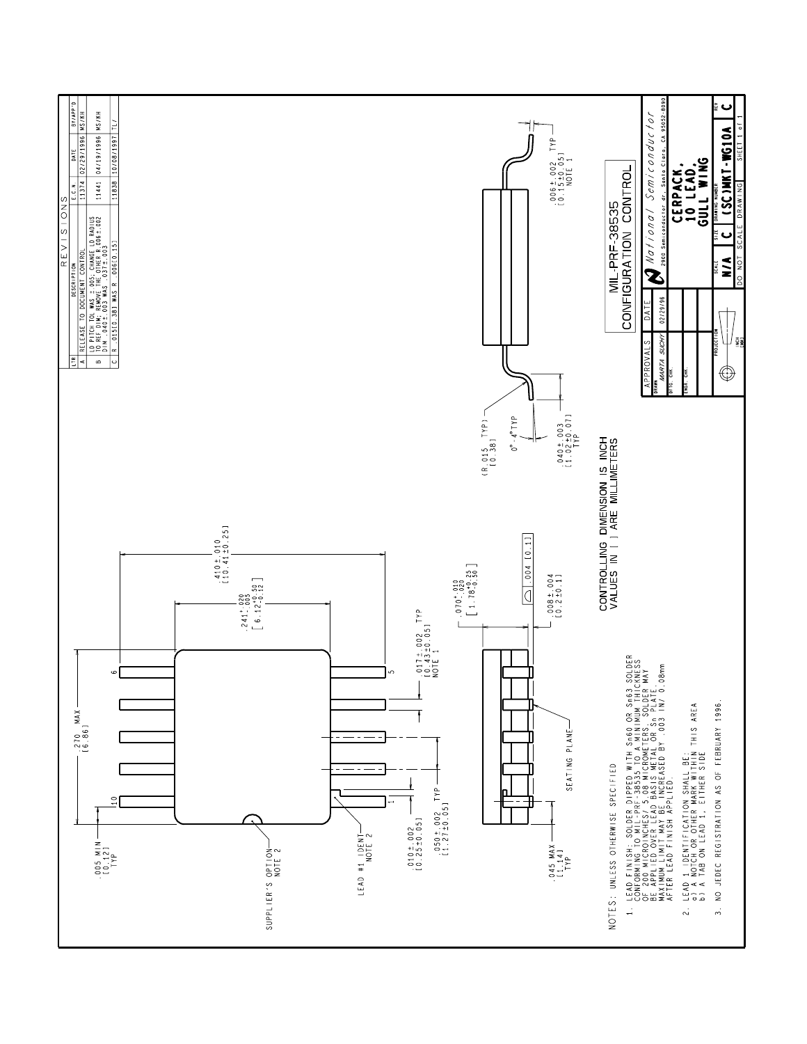